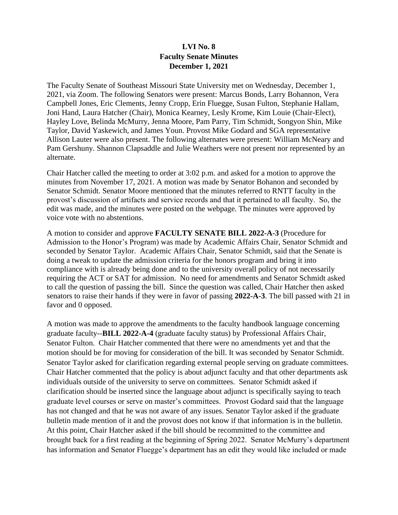# **LVI No. 8 Faculty Senate Minutes December 1, 2021**

The Faculty Senate of Southeast Missouri State University met on Wednesday, December 1, 2021, via Zoom. The following Senators were present: Marcus Bonds, Larry Bohannon, Vera Campbell Jones, Eric Clements, Jenny Cropp, Erin Fluegge, Susan Fulton, Stephanie Hallam, Joni Hand, Laura Hatcher (Chair), Monica Kearney, Lesly Krome, Kim Louie (Chair-Elect), Hayley Love, Belinda McMurry, Jenna Moore, Pam Parry, Tim Schmidt, Songyon Shin, Mike Taylor, David Yaskewich, and James Youn. Provost Mike Godard and SGA representative Allison Lauter were also present. The following alternates were present: William McNeary and Pam Gershuny. Shannon Clapsaddle and Julie Weathers were not present nor represented by an alternate.

Chair Hatcher called the meeting to order at 3:02 p.m. and asked for a motion to approve the minutes from November 17, 2021. A motion was made by Senator Bohanon and seconded by Senator Schmidt. Senator Moore mentioned that the minutes referred to RNTT faculty in the provost's discussion of artifacts and service records and that it pertained to all faculty. So, the edit was made, and the minutes were posted on the webpage. The minutes were approved by voice vote with no abstentions.

A motion to consider and approve **FACULTY SENATE BILL 2022-A-3** (Procedure for Admission to the Honor's Program) was made by Academic Affairs Chair, Senator Schmidt and seconded by Senator Taylor. Academic Affairs Chair, Senator Schmidt, said that the Senate is doing a tweak to update the admission criteria for the honors program and bring it into compliance with is already being done and to the university overall policy of not necessarily requiring the ACT or SAT for admission. No need for amendments and Senator Schmidt asked to call the question of passing the bill. Since the question was called, Chair Hatcher then asked senators to raise their hands if they were in favor of passing **2022-A-3**. The bill passed with 21 in favor and 0 opposed.

A motion was made to approve the amendments to the faculty handbook language concerning graduate faculty--**BILL 2022-A-4** (graduate faculty status) by Professional Affairs Chair, Senator Fulton. Chair Hatcher commented that there were no amendments yet and that the motion should be for moving for consideration of the bill. It was seconded by Senator Schmidt. Senator Taylor asked for clarification regarding external people serving on graduate committees. Chair Hatcher commented that the policy is about adjunct faculty and that other departments ask individuals outside of the university to serve on committees. Senator Schmidt asked if clarification should be inserted since the language about adjunct is specifically saying to teach graduate level courses or serve on master's committees. Provost Godard said that the language has not changed and that he was not aware of any issues. Senator Taylor asked if the graduate bulletin made mention of it and the provost does not know if that information is in the bulletin. At this point, Chair Hatcher asked if the bill should be recommitted to the committee and brought back for a first reading at the beginning of Spring 2022. Senator McMurry's department has information and Senator Fluegge's department has an edit they would like included or made